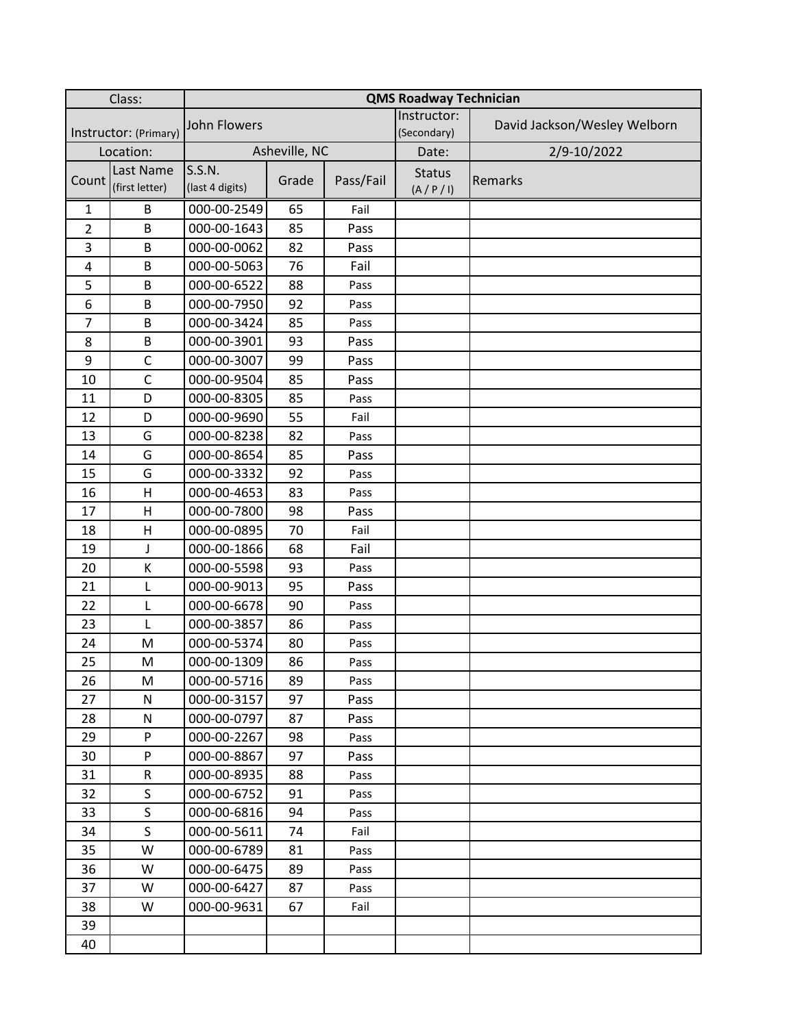| Class:                |                             | <b>QMS Roadway Technician</b> |       |           |                              |                              |  |  |
|-----------------------|-----------------------------|-------------------------------|-------|-----------|------------------------------|------------------------------|--|--|
| Instructor: (Primary) |                             | <b>John Flowers</b>           |       |           | Instructor:<br>(Secondary)   | David Jackson/Wesley Welborn |  |  |
| Location:             |                             | Asheville, NC                 |       |           | Date:                        | 2/9-10/2022                  |  |  |
| Count                 | Last Name<br>(first letter) | S.S.N.<br>(last 4 digits)     | Grade | Pass/Fail | <b>Status</b><br>(A / P / I) | Remarks                      |  |  |
| $\mathbf{1}$          | B                           | 000-00-2549                   | 65    | Fail      |                              |                              |  |  |
| $\overline{2}$        | B                           | 000-00-1643                   | 85    | Pass      |                              |                              |  |  |
| 3                     | B                           | 000-00-0062                   | 82    | Pass      |                              |                              |  |  |
| 4                     | B                           | 000-00-5063                   | 76    | Fail      |                              |                              |  |  |
| 5                     | B                           | 000-00-6522                   | 88    | Pass      |                              |                              |  |  |
| 6                     | B                           | 000-00-7950                   | 92    | Pass      |                              |                              |  |  |
| $\overline{7}$        | B                           | 000-00-3424                   | 85    | Pass      |                              |                              |  |  |
| 8                     | B                           | 000-00-3901                   | 93    | Pass      |                              |                              |  |  |
| 9                     | $\mathsf{C}$                | 000-00-3007                   | 99    | Pass      |                              |                              |  |  |
| 10                    | $\mathsf{C}$                | 000-00-9504                   | 85    | Pass      |                              |                              |  |  |
| 11                    | D                           | 000-00-8305                   | 85    | Pass      |                              |                              |  |  |
| 12                    | D                           | 000-00-9690                   | 55    | Fail      |                              |                              |  |  |
| 13                    | G                           | 000-00-8238                   | 82    | Pass      |                              |                              |  |  |
| 14                    | G                           | 000-00-8654                   | 85    | Pass      |                              |                              |  |  |
| 15                    | G                           | 000-00-3332                   | 92    | Pass      |                              |                              |  |  |
| 16                    | H                           | 000-00-4653                   | 83    | Pass      |                              |                              |  |  |
| 17                    | $\mathsf{H}$                | 000-00-7800                   | 98    | Pass      |                              |                              |  |  |
| 18                    | $\mathsf{H}$                | 000-00-0895                   | 70    | Fail      |                              |                              |  |  |
| 19                    | J                           | 000-00-1866                   | 68    | Fail      |                              |                              |  |  |
| 20                    | К                           | 000-00-5598                   | 93    | Pass      |                              |                              |  |  |
| 21                    | L                           | 000-00-9013                   | 95    | Pass      |                              |                              |  |  |
| 22                    | Г                           | 000-00-6678                   | 90    | Pass      |                              |                              |  |  |
| 23                    | L                           | 000-00-3857                   | 86    | Pass      |                              |                              |  |  |
| 24                    | M                           | 000-00-5374                   | 80    | Pass      |                              |                              |  |  |
| 25                    | M                           | 000-00-1309                   | 86    | Pass      |                              |                              |  |  |
| 26                    | M                           | 000-00-5716                   | 89    | Pass      |                              |                              |  |  |
| 27                    | ${\sf N}$                   | 000-00-3157                   | 97    | Pass      |                              |                              |  |  |
| 28                    | ${\sf N}$                   | 000-00-0797                   | 87    | Pass      |                              |                              |  |  |
| 29                    | P                           | 000-00-2267                   | 98    | Pass      |                              |                              |  |  |
| 30                    | P                           | 000-00-8867                   | 97    | Pass      |                              |                              |  |  |
| 31                    | R                           | 000-00-8935                   | 88    | Pass      |                              |                              |  |  |
| 32                    | $\mathsf S$                 | 000-00-6752                   | 91    | Pass      |                              |                              |  |  |
| 33                    | $\mathsf{S}$                | 000-00-6816                   | 94    | Pass      |                              |                              |  |  |
| 34                    | $\mathsf S$                 | 000-00-5611                   | 74    | Fail      |                              |                              |  |  |
| 35                    | W                           | 000-00-6789                   | 81    | Pass      |                              |                              |  |  |
| 36                    | W                           | 000-00-6475                   | 89    | Pass      |                              |                              |  |  |
| 37                    | W                           | 000-00-6427                   | 87    | Pass      |                              |                              |  |  |
| 38                    | W                           | 000-00-9631                   | 67    | Fail      |                              |                              |  |  |
| 39                    |                             |                               |       |           |                              |                              |  |  |
| 40                    |                             |                               |       |           |                              |                              |  |  |